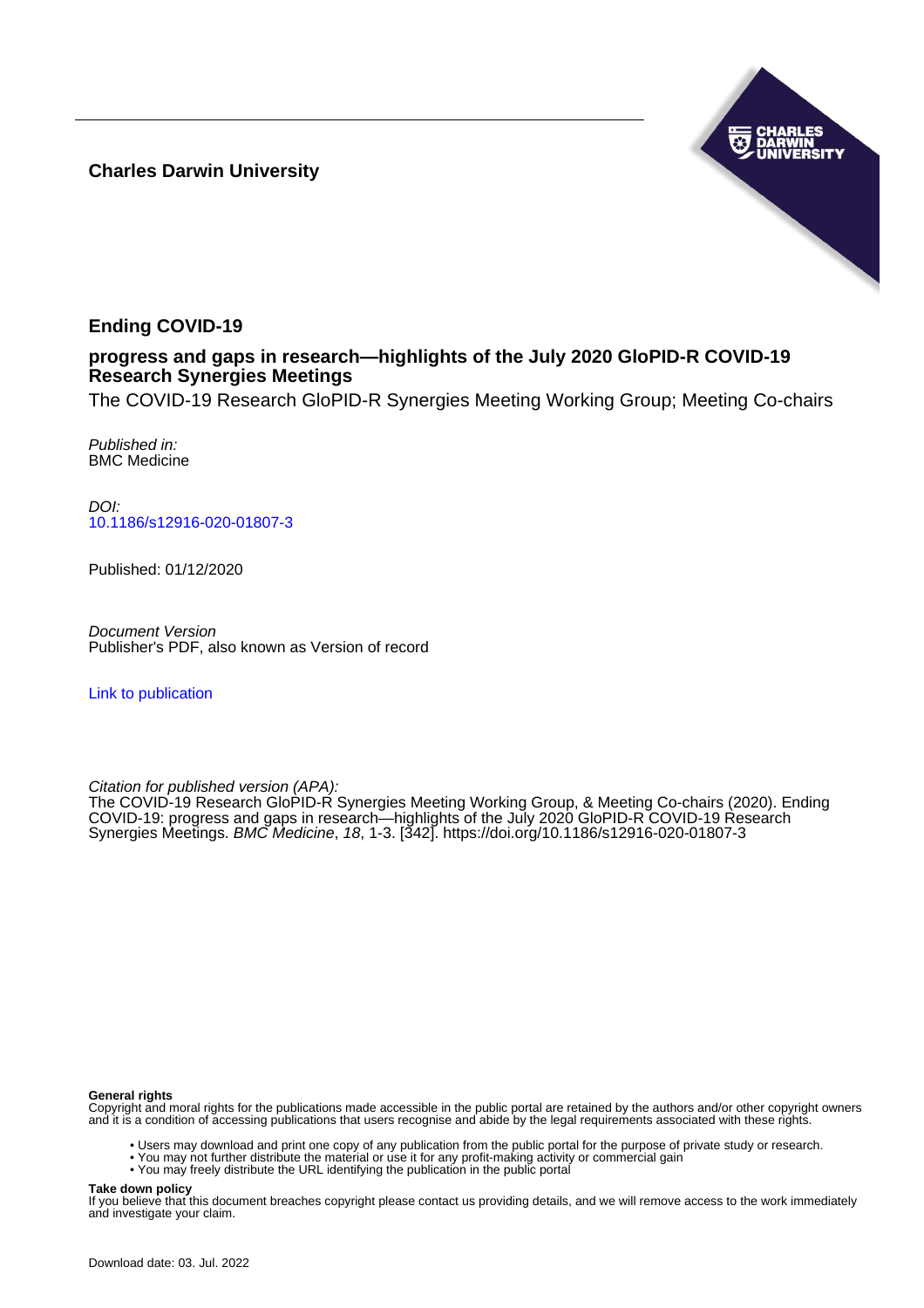**Charles Darwin University**



# **Ending COVID-19**

# **progress and gaps in research—highlights of the July 2020 GloPID-R COVID-19 Research Synergies Meetings**

The COVID-19 Research GloPID-R Synergies Meeting Working Group; Meeting Co-chairs

Published in: BMC Medicine

DOI: [10.1186/s12916-020-01807-3](https://doi.org/10.1186/s12916-020-01807-3)

Published: 01/12/2020

Document Version Publisher's PDF, also known as Version of record

[Link to publication](https://researchers.cdu.edu.au/en/publications/d065228f-234d-40be-87b8-c04993e43450)

Citation for published version (APA):

The COVID-19 Research GloPID-R Synergies Meeting Working Group, & Meeting Co-chairs (2020). Ending COVID-19: progress and gaps in research—highlights of the July 2020 GloPID-R COVID-19 Research Synergies Meetings. BMC Medicine, 18, 1-3. [342].<https://doi.org/10.1186/s12916-020-01807-3>

## **General rights**

Copyright and moral rights for the publications made accessible in the public portal are retained by the authors and/or other copyright owners and it is a condition of accessing publications that users recognise and abide by the legal requirements associated with these rights.

- Users may download and print one copy of any publication from the public portal for the purpose of private study or research.
- You may not further distribute the material or use it for any profit-making activity or commercial gain
- You may freely distribute the URL identifying the publication in the public portal

## **Take down policy**

If you believe that this document breaches copyright please contact us providing details, and we will remove access to the work immediately and investigate your claim.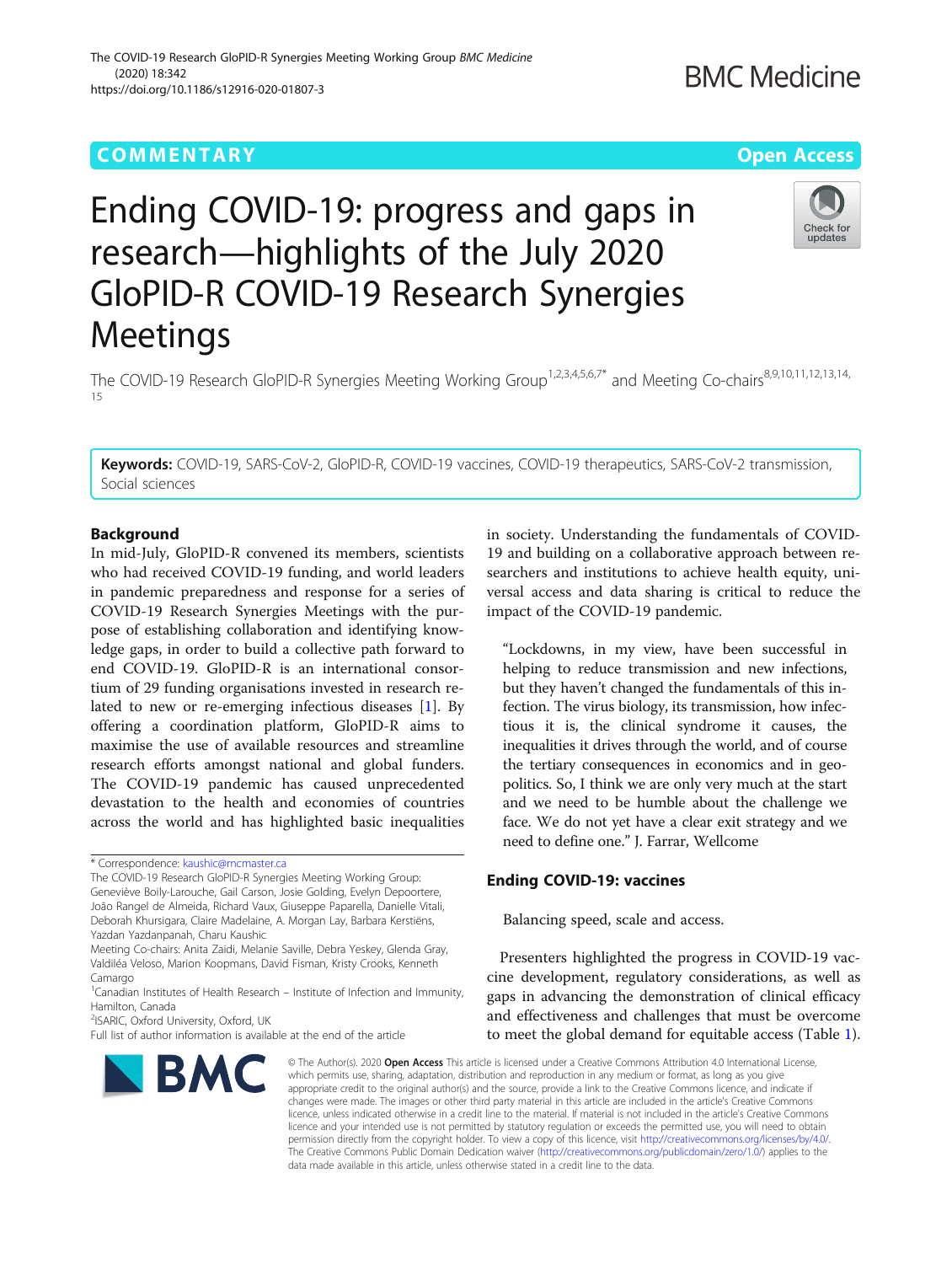# **COMMENTARY COMMENTARY COMMENTARY**

# Ending COVID-19: progress and gaps in research—highlights of the July 2020 GloPID-R COVID-19 Research Synergies Meetings

The COVID-19 Research GloPID-R Synergies Meeting Working Group<sup>1,2,3,4,5,6,7\*</sup> and Meeting Co-chairs<sup>8,9,10,11,12,13,14,</sup> 15

Keywords: COVID-19, SARS-CoV-2, GloPID-R, COVID-19 vaccines, COVID-19 therapeutics, SARS-CoV-2 transmission, Social sciences

## Background

In mid-July, GloPID-R convened its members, scientists who had received COVID-19 funding, and world leaders in pandemic preparedness and response for a series of COVID-19 Research Synergies Meetings with the purpose of establishing collaboration and identifying knowledge gaps, in order to build a collective path forward to end COVID-19. GloPID-R is an international consortium of 29 funding organisations invested in research related to new or re-emerging infectious diseases [[1\]](#page-3-0). By offering a coordination platform, GloPID-R aims to maximise the use of available resources and streamline research efforts amongst national and global funders. The COVID-19 pandemic has caused unprecedented devastation to the health and economies of countries across the world and has highlighted basic inequalities

The COVID-19 Research GloPID-R Synergies Meeting Working Group: Geneviève Boily-Larouche, Gail Carson, Josie Golding, Evelyn Depoortere, João Rangel de Almeida, Richard Vaux, Giuseppe Paparella, Danielle Vitali, Deborah Khursigara, Claire Madelaine, A. Morgan Lay, Barbara Kerstiëns, Yazdan Yazdanpanah, Charu Kaushic

Meeting Co-chairs: Anita Zaidi, Melanie Saville, Debra Yeskey, Glenda Gray, Valdiléa Veloso, Marion Koopmans, David Fisman, Kristy Crooks, Kenneth Camargo

<sup>2</sup>ISARIC, Oxford University, Oxford, UK

# in society. Understanding the fundamentals of COVID-19 and building on a collaborative approach between researchers and institutions to achieve health equity, universal access and data sharing is critical to reduce the impact of the COVID-19 pandemic.

"Lockdowns, in my view, have been successful in helping to reduce transmission and new infections, but they haven't changed the fundamentals of this infection. The virus biology, its transmission, how infectious it is, the clinical syndrome it causes, the inequalities it drives through the world, and of course the tertiary consequences in economics and in geopolitics. So, I think we are only very much at the start and we need to be humble about the challenge we face. We do not yet have a clear exit strategy and we need to define one." J. Farrar, Wellcome

## Ending COVID-19: vaccines

Balancing speed, scale and access.

Presenters highlighted the progress in COVID-19 vaccine development, regulatory considerations, as well as gaps in advancing the demonstration of clinical efficacy and effectiveness and challenges that must be overcome to meet the global demand for equitable access (Table [1](#page-2-0)).

© The Author(s). 2020 Open Access This article is licensed under a Creative Commons Attribution 4.0 International License, which permits use, sharing, adaptation, distribution and reproduction in any medium or format, as long as you give appropriate credit to the original author(s) and the source, provide a link to the Creative Commons licence, and indicate if changes were made. The images or other third party material in this article are included in the article's Creative Commons licence, unless indicated otherwise in a credit line to the material. If material is not included in the article's Creative Commons licence and your intended use is not permitted by statutory regulation or exceeds the permitted use, you will need to obtain permission directly from the copyright holder. To view a copy of this licence, visit [http://creativecommons.org/licenses/by/4.0/.](http://creativecommons.org/licenses/by/4.0/) The Creative Commons Public Domain Dedication waiver [\(http://creativecommons.org/publicdomain/zero/1.0/](http://creativecommons.org/publicdomain/zero/1.0/)) applies to the data made available in this article, unless otherwise stated in a credit line to the data.

**BMC** 

Full list of author information is available at the end of the article







<sup>\*</sup> Correspondence: [kaushic@mcmaster.ca](mailto:kaushic@mcmaster.ca)

<sup>&</sup>lt;sup>1</sup> Canadian Institutes of Health Research – Institute of Infection and Immunity, Hamilton, Canada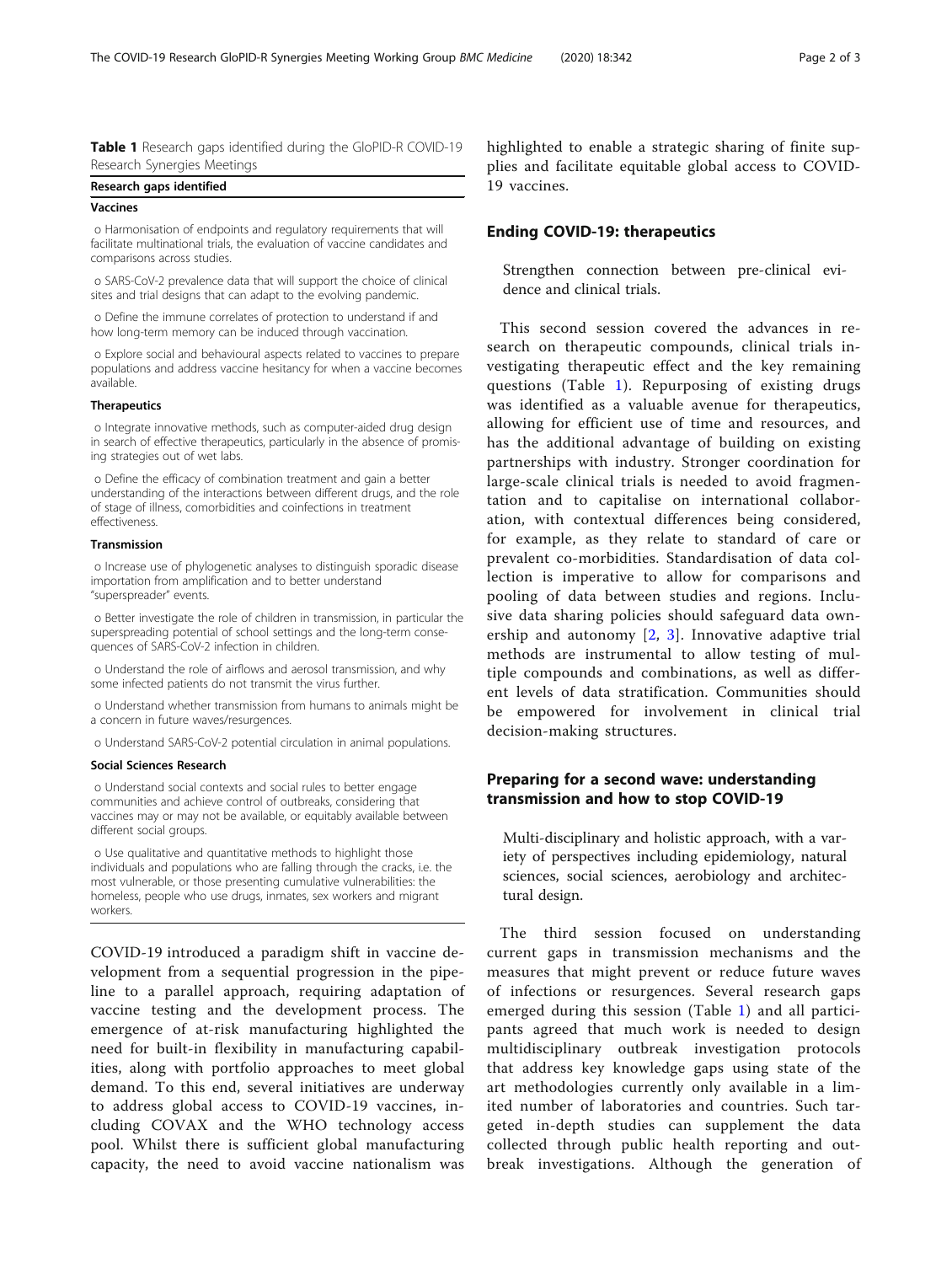<span id="page-2-0"></span>Table 1 Research gaps identified during the GloPID-R COVID-19 Research Synergies Meetings

## Research gaps identified

## Vaccines

o Harmonisation of endpoints and regulatory requirements that will facilitate multinational trials, the evaluation of vaccine candidates and comparisons across studies.

o SARS-CoV-2 prevalence data that will support the choice of clinical sites and trial designs that can adapt to the evolving pandemic.

o Define the immune correlates of protection to understand if and how long-term memory can be induced through vaccination.

o Explore social and behavioural aspects related to vaccines to prepare populations and address vaccine hesitancy for when a vaccine becomes available.

## **Therapeutics**

o Integrate innovative methods, such as computer-aided drug design in search of effective therapeutics, particularly in the absence of promising strategies out of wet labs.

o Define the efficacy of combination treatment and gain a better understanding of the interactions between different drugs, and the role of stage of illness, comorbidities and coinfections in treatment effectiveness.

## Transmission

o Increase use of phylogenetic analyses to distinguish sporadic disease importation from amplification and to better understand "superspreader" events.

o Better investigate the role of children in transmission, in particular the superspreading potential of school settings and the long-term consequences of SARS-CoV-2 infection in children.

o Understand the role of airflows and aerosol transmission, and why some infected patients do not transmit the virus further.

o Understand whether transmission from humans to animals might be a concern in future waves/resurgences.

o Understand SARS-CoV-2 potential circulation in animal populations.

## Social Sciences Research

o Understand social contexts and social rules to better engage communities and achieve control of outbreaks, considering that vaccines may or may not be available, or equitably available between different social groups.

o Use qualitative and quantitative methods to highlight those individuals and populations who are falling through the cracks, i.e. the most vulnerable, or those presenting cumulative vulnerabilities: the homeless, people who use drugs, inmates, sex workers and migrant workers.

COVID-19 introduced a paradigm shift in vaccine development from a sequential progression in the pipeline to a parallel approach, requiring adaptation of vaccine testing and the development process. The emergence of at-risk manufacturing highlighted the need for built-in flexibility in manufacturing capabilities, along with portfolio approaches to meet global demand. To this end, several initiatives are underway to address global access to COVID-19 vaccines, including COVAX and the WHO technology access pool. Whilst there is sufficient global manufacturing capacity, the need to avoid vaccine nationalism was

highlighted to enable a strategic sharing of finite supplies and facilitate equitable global access to COVID-19 vaccines.

## Ending COVID-19: therapeutics

Strengthen connection between pre-clinical evidence and clinical trials.

This second session covered the advances in research on therapeutic compounds, clinical trials investigating therapeutic effect and the key remaining questions (Table 1). Repurposing of existing drugs was identified as a valuable avenue for therapeutics, allowing for efficient use of time and resources, and has the additional advantage of building on existing partnerships with industry. Stronger coordination for large-scale clinical trials is needed to avoid fragmentation and to capitalise on international collaboration, with contextual differences being considered, for example, as they relate to standard of care or prevalent co-morbidities. Standardisation of data collection is imperative to allow for comparisons and pooling of data between studies and regions. Inclusive data sharing policies should safeguard data ownership and autonomy [[2,](#page-3-0) [3\]](#page-3-0). Innovative adaptive trial methods are instrumental to allow testing of multiple compounds and combinations, as well as different levels of data stratification. Communities should be empowered for involvement in clinical trial decision-making structures.

## Preparing for a second wave: understanding transmission and how to stop COVID-19

Multi-disciplinary and holistic approach, with a variety of perspectives including epidemiology, natural sciences, social sciences, aerobiology and architectural design.

The third session focused on understanding current gaps in transmission mechanisms and the measures that might prevent or reduce future waves of infections or resurgences. Several research gaps emerged during this session (Table 1) and all participants agreed that much work is needed to design multidisciplinary outbreak investigation protocols that address key knowledge gaps using state of the art methodologies currently only available in a limited number of laboratories and countries. Such targeted in-depth studies can supplement the data collected through public health reporting and outbreak investigations. Although the generation of